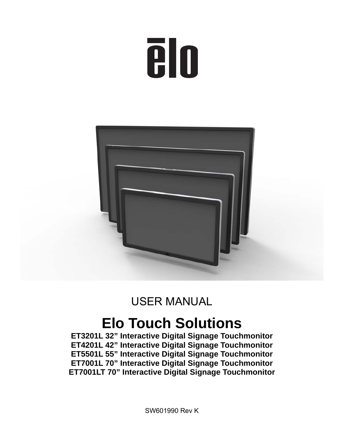# **TO**



# USER MANUAL

# **Elo Touch Solutions**

**ET3201L 32" Interactive Digital Signage Touchmonitor ET4201L 42" Interactive Digital Signage Touchmonitor ET5501L 55" Interactive Digital Signage Touchmonitor ET7001L 70" Interactive Digital Signage Touchmonitor ET7001LT 70" Interactive Digital Signage Touchmonitor** 

SW601990 Rev K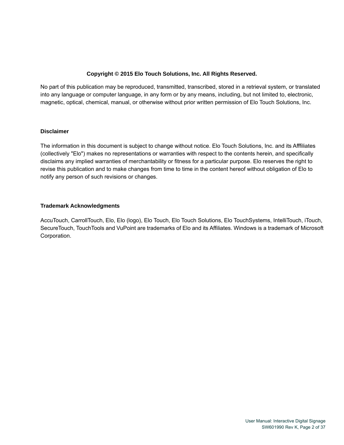#### **Copyright © 2015 Elo Touch Solutions, Inc. All Rights Reserved.**

No part of this publication may be reproduced, transmitted, transcribed, stored in a retrieval system, or translated into any language or computer language, in any form or by any means, including, but not limited to, electronic, magnetic, optical, chemical, manual, or otherwise without prior written permission of Elo Touch Solutions, Inc.

#### **Disclaimer**

The information in this document is subject to change without notice. Elo Touch Solutions, Inc. and its Afffiliates (collectively "Elo") makes no representations or warranties with respect to the contents herein, and specifically disclaims any implied warranties of merchantability or fitness for a particular purpose. Elo reserves the right to revise this publication and to make changes from time to time in the content hereof without obligation of Elo to notify any person of such revisions or changes.

#### **Trademark Acknowledgments**

AccuTouch, CarrollTouch, Elo, Elo (logo), Elo Touch, Elo Touch Solutions, Elo TouchSystems, IntelliTouch, iTouch, SecureTouch, TouchTools and VuPoint are trademarks of Elo and its Affiliates. Windows is a trademark of Microsoft Corporation.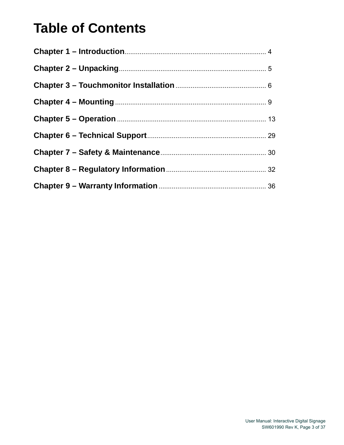# **Table of Contents**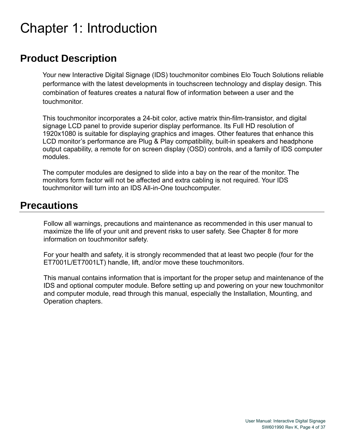# Chapter 1: Introduction

#### **Product Description**

Your new Interactive Digital Signage (IDS) touchmonitor combines Elo Touch Solutions reliable performance with the latest developments in touchscreen technology and display design. This combination of features creates a natural flow of information between a user and the touchmonitor.

This touchmonitor incorporates a 24-bit color, active matrix thin-film-transistor, and digital signage LCD panel to provide superior display performance. Its Full HD resolution of 1920x1080 is suitable for displaying graphics and images. Other features that enhance this LCD monitor's performance are Plug & Play compatibility, built-in speakers and headphone output capability, a remote for on screen display (OSD) controls, and a family of IDS computer modules.

The computer modules are designed to slide into a bay on the rear of the monitor. The monitors form factor will not be affected and extra cabling is not required. Your IDS touchmonitor will turn into an IDS All-in-One touchcomputer.

#### **Precautions**

Follow all warnings, precautions and maintenance as recommended in this user manual to maximize the life of your unit and prevent risks to user safety. See Chapter 8 for more information on touchmonitor safety.

For your health and safety, it is strongly recommended that at least two people (four for the ET7001L/ET7001LT) handle, lift, and/or move these touchmonitors.

This manual contains information that is important for the proper setup and maintenance of the IDS and optional computer module. Before setting up and powering on your new touchmonitor and computer module, read through this manual, especially the Installation, Mounting, and Operation chapters.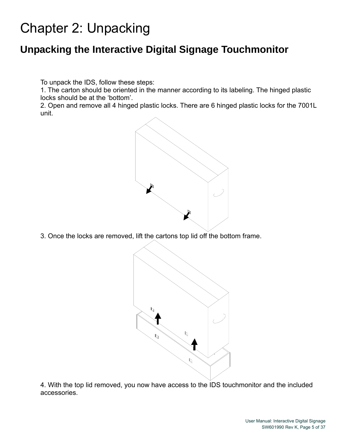# Chapter 2: Unpacking

## **Unpacking the Interactive Digital Signage Touchmonitor**

To unpack the IDS, follow these steps:

1. The carton should be oriented in the manner according to its labeling. The hinged plastic locks should be at the 'bottom'.

2. Open and remove all 4 hinged plastic locks. There are 6 hinged plastic locks for the 7001L unit.



3. Once the locks are removed, lift the cartons top lid off the bottom frame.



4. With the top lid removed, you now have access to the IDS touchmonitor and the included accessories.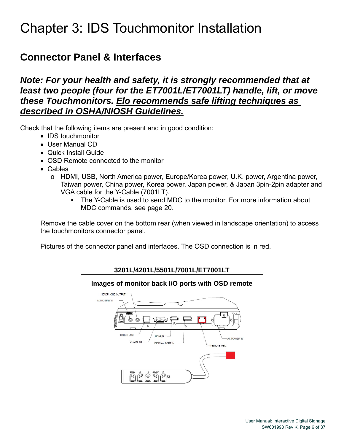# Chapter 3: IDS Touchmonitor Installation

### **Connector Panel & Interfaces**

#### *Note: For your health and safety, it is strongly recommended that at least two people (four for the ET7001L/ET7001LT) handle, lift, or move these Touchmonitors. Elo recommends safe lifting techniques as described in OSHA/NIOSH Guidelines.*

Check that the following items are present and in good condition:

- IDS touchmonitor
- User Manual CD
- Quick Install Guide
- OSD Remote connected to the monitor
- Cables
	- o HDMI, USB, North America power, Europe/Korea power, U.K. power, Argentina power, Taiwan power, China power, Korea power, Japan power, & Japan 3pin-2pin adapter and VGA cable for the Y-Cable (7001LT).
		- The Y-Cable is used to send MDC to the monitor. For more information about MDC commands, see page 20.

Remove the cable cover on the bottom rear (when viewed in landscape orientation) to access the touchmonitors connector panel.

Pictures of the connector panel and interfaces. The OSD connection is in red.

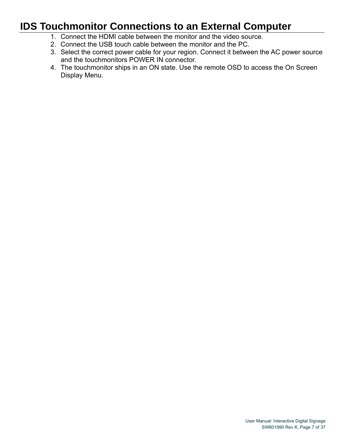## **IDS Touchmonitor Connections to an External Computer**

- 1. Connect the HDMI cable between the monitor and the video source.
- 2. Connect the USB touch cable between the monitor and the PC.
- 3. Select the correct power cable for your region. Connect it between the AC power source and the touchmonitors POWER IN connector.
- 4. The touchmonitor ships in an ON state. Use the remote OSD to access the On Screen Display Menu.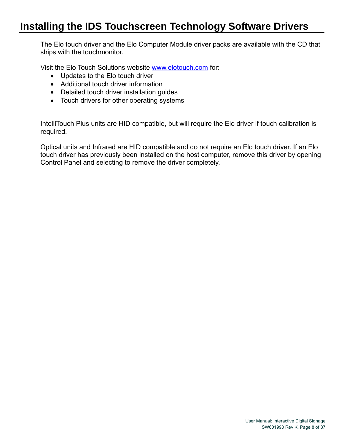## **Installing the IDS Touchscreen Technology Software Drivers**

The Elo touch driver and the Elo Computer Module driver packs are available with the CD that ships with the touchmonitor.

Visit the Elo Touch Solutions website www.elotouch.com for:

- Updates to the Elo touch driver
- Additional touch driver information
- Detailed touch driver installation guides
- Touch drivers for other operating systems

IntelliTouch Plus units are HID compatible, but will require the Elo driver if touch calibration is required.

Optical units and Infrared are HID compatible and do not require an Elo touch driver. If an Elo touch driver has previously been installed on the host computer, remove this driver by opening Control Panel and selecting to remove the driver completely.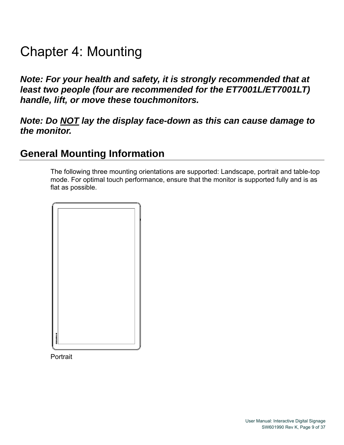# Chapter 4: Mounting

*Note: For your health and safety, it is strongly recommended that at least two people (four are recommended for the ET7001L/ET7001LT) handle, lift, or move these touchmonitors.* 

#### *Note: Do NOT lay the display face-down as this can cause damage to the monitor.*

#### **General Mounting Information**

The following three mounting orientations are supported: Landscape, portrait and table-top mode. For optimal touch performance, ensure that the monitor is supported fully and is as flat as possible.



**Portrait**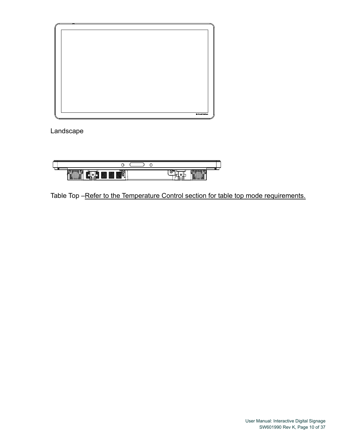

Landscape



Table Top -Refer to the Temperature Control section for table top mode requirements.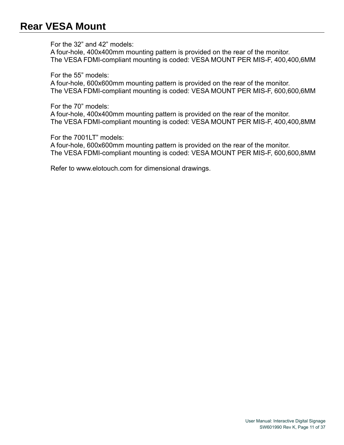#### **Rear VESA Mount**

For the 32" and 42" models:

A four-hole, 400x400mm mounting pattern is provided on the rear of the monitor. The VESA FDMI-compliant mounting is coded: VESA MOUNT PER MIS-F, 400,400,6MM

For the 55" models:

A four-hole, 600x600mm mounting pattern is provided on the rear of the monitor. The VESA FDMI-compliant mounting is coded: VESA MOUNT PER MIS-F, 600,600,6MM

For the 70" models:

A four-hole, 400x400mm mounting pattern is provided on the rear of the monitor. The VESA FDMI-compliant mounting is coded: VESA MOUNT PER MIS-F, 400,400,8MM

For the 7001LT" models:

A four-hole, 600x600mm mounting pattern is provided on the rear of the monitor. The VESA FDMI-compliant mounting is coded: VESA MOUNT PER MIS-F, 600,600,8MM

Refer to www.elotouch.com for dimensional drawings.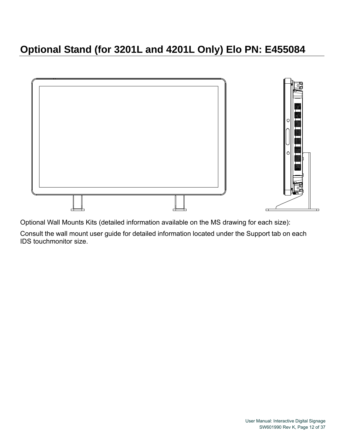## **Optional Stand (for 3201L and 4201L Only) Elo PN: E455084**



Optional Wall Mounts Kits (detailed information available on the MS drawing for each size):

Consult the wall mount user guide for detailed information located under the Support tab on each IDS touchmonitor size.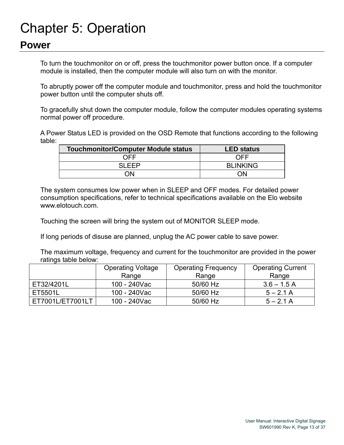# Chapter 5: Operation

#### **Power**

To turn the touchmonitor on or off, press the touchmonitor power button once. If a computer module is installed, then the computer module will also turn on with the monitor.

To abruptly power off the computer module and touchmonitor, press and hold the touchmonitor power button until the computer shuts off.

To gracefully shut down the computer module, follow the computer modules operating systems normal power off procedure.

A Power Status LED is provided on the OSD Remote that functions according to the following table:

| <b>Touchmonitor/Computer Module status</b> | <b>LED status</b> |
|--------------------------------------------|-------------------|
| NFF                                        | NFF               |
| SI EED                                     | <b>BLINKING</b>   |
|                                            | NN                |

The system consumes low power when in SLEEP and OFF modes. For detailed power consumption specifications, refer to technical specifications available on the Elo website www.elotouch.com.

Touching the screen will bring the system out of MONITOR SLEEP mode.

If long periods of disuse are planned, unplug the AC power cable to save power.

The maximum voltage, frequency and current for the touchmonitor are provided in the power ratings table below:

|                  | <b>Operating Voltage</b> | <b>Operating Frequency</b> | <b>Operating Current</b> |
|------------------|--------------------------|----------------------------|--------------------------|
|                  | Range                    | Range                      | Range                    |
| ET32/4201L       | 100 - 240Vac             | 50/60 Hz                   | $3.6 - 1.5$ A            |
| ET5501L          | 100 - 240Vac             | 50/60 Hz                   | $5 - 2.1$ A              |
| ET7001L/ET7001LT | 100 - 240Vac             | 50/60 Hz                   | $5 - 2.1$ A              |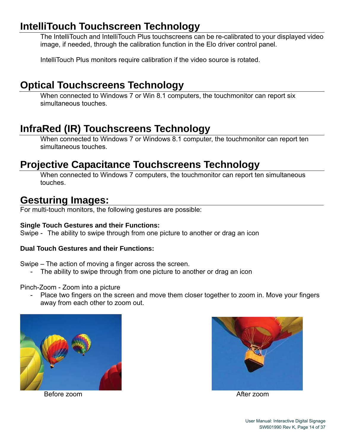## **IntelliTouch Touchscreen Technology**

The IntelliTouch and IntelliTouch Plus touchscreens can be re-calibrated to your displayed video image, if needed, through the calibration function in the Elo driver control panel.

IntelliTouch Plus monitors require calibration if the video source is rotated.

## **Optical Touchscreens Technology**

When connected to Windows 7 or Win 8.1 computers, the touchmonitor can report six simultaneous touches.

## **InfraRed (IR) Touchscreens Technology**

When connected to Windows 7 or Windows 8.1 computer, the touchmonitor can report ten simultaneous touches.

## **Projective Capacitance Touchscreens Technology**

When connected to Windows 7 computers, the touchmonitor can report ten simultaneous touches.

#### **Gesturing Images:**

For multi-touch monitors, the following gestures are possible:

#### **Single Touch Gestures and their Functions:**

Swipe - The ability to swipe through from one picture to another or drag an icon

#### **Dual Touch Gestures and their Functions:**

Swipe – The action of moving a finger across the screen.

The ability to swipe through from one picture to another or drag an icon

#### Pinch-Zoom - Zoom into a picture

- Place two fingers on the screen and move them closer together to zoom in. Move your fingers away from each other to zoom out.



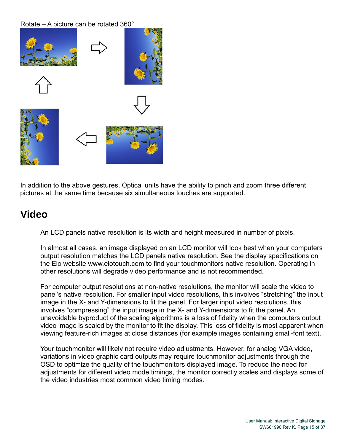#### Rotate – A picture can be rotated 360°



In addition to the above gestures, Optical units have the ability to pinch and zoom three different pictures at the same time because six simultaneous touches are supported.

#### **Video**

An LCD panels native resolution is its width and height measured in number of pixels.

In almost all cases, an image displayed on an LCD monitor will look best when your computers output resolution matches the LCD panels native resolution. See the display specifications on the Elo website www.elotouch.com to find your touchmonitors native resolution. Operating in other resolutions will degrade video performance and is not recommended.

For computer output resolutions at non-native resolutions, the monitor will scale the video to panel's native resolution. For smaller input video resolutions, this involves "stretching" the input image in the X- and Y-dimensions to fit the panel. For larger input video resolutions, this involves "compressing" the input image in the X- and Y-dimensions to fit the panel. An unavoidable byproduct of the scaling algorithms is a loss of fidelity when the computers output video image is scaled by the monitor to fit the display. This loss of fidelity is most apparent when viewing feature-rich images at close distances (for example images containing small-font text).

Your touchmonitor will likely not require video adjustments. However, for analog VGA video, variations in video graphic card outputs may require touchmonitor adjustments through the OSD to optimize the quality of the touchmonitors displayed image. To reduce the need for adjustments for different video mode timings, the monitor correctly scales and displays some of the video industries most common video timing modes.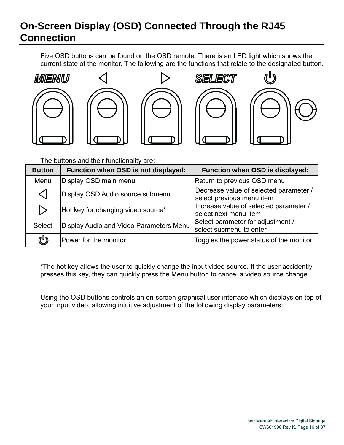## **On-Screen Display (OSD) Connected Through the RJ45 Connection**

Five OSD buttons can be found on the OSD remote. There is an LED light which shows the current state of the monitor. The following are the functions that relate to the designated button.











The buttons and their functionality are:

| <b>Button</b>    | Function when OSD is not displayed:     | Function when OSD is displayed:                                     |
|------------------|-----------------------------------------|---------------------------------------------------------------------|
| Menu             | Display OSD main menu                   | Return to previous OSD menu                                         |
| ◁                | Display OSD Audio source submenu        | Decrease value of selected parameter /<br>select previous menu item |
| $\triangleright$ | Hot key for changing video source*      | Increase value of selected parameter /<br>select next menu item     |
| <b>Select</b>    | Display Audio and Video Parameters Menu | Select parameter for adjustment /<br>select submenu to enter        |
| U                | Power for the monitor                   | Toggles the power status of the monitor                             |

\*The hot key allows the user to quickly change the input video source. If the user accidently presses this key, they can quickly press the Menu button to cancel a video source change.

Using the OSD buttons controls an on-screen graphical user interface which displays on top of your input video, allowing intuitive adjustment of the following display parameters: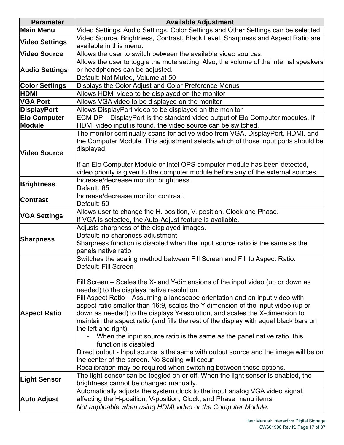| <b>Parameter</b>      | <b>Available Adjustment</b>                                                           |
|-----------------------|---------------------------------------------------------------------------------------|
| <b>Main Menu</b>      | Video Settings, Audio Settings, Color Settings and Other Settings can be selected     |
| <b>Video Settings</b> | Video Source, Brightness, Contrast, Black Level, Sharpness and Aspect Ratio are       |
|                       | available in this menu.                                                               |
| <b>Video Source</b>   | Allows the user to switch between the available video sources.                        |
|                       | Allows the user to toggle the mute setting. Also, the volume of the internal speakers |
| <b>Audio Settings</b> | or headphones can be adjusted.                                                        |
|                       | Default: Not Muted, Volume at 50                                                      |
| <b>Color Settings</b> | Displays the Color Adjust and Color Preference Menus                                  |
| <b>HDMI</b>           | Allows HDMI video to be displayed on the monitor                                      |
| <b>VGA Port</b>       | Allows VGA video to be displayed on the monitor                                       |
| <b>DisplayPort</b>    | Allows DisplayPort video to be displayed on the monitor                               |
| <b>Elo Computer</b>   | ECM DP - DisplayPort is the standard video output of Elo Computer modules. If         |
| <b>Module</b>         | HDMI video input is found, the video source can be switched.                          |
|                       | The monitor continually scans for active video from VGA, DisplayPort, HDMI, and       |
|                       | the Computer Module. This adjustment selects which of those input ports should be     |
| <b>Video Source</b>   | displayed.                                                                            |
|                       |                                                                                       |
|                       | If an Elo Computer Module or Intel OPS computer module has been detected,             |
|                       | video priority is given to the computer module before any of the external sources.    |
| <b>Brightness</b>     | Increase/decrease monitor brightness.                                                 |
|                       | Default: 65                                                                           |
| <b>Contrast</b>       | Increase/decrease monitor contrast.                                                   |
|                       | Default: 50                                                                           |
| <b>VGA Settings</b>   | Allows user to change the H. position, V. position, Clock and Phase.                  |
|                       | If VGA is selected, the Auto-Adjust feature is available.                             |
|                       | Adjusts sharpness of the displayed images.<br>Default: no sharpness adjustment        |
| <b>Sharpness</b>      | Sharpness function is disabled when the input source ratio is the same as the         |
|                       | panels native ratio                                                                   |
|                       | Switches the scaling method between Fill Screen and Fill to Aspect Ratio.             |
|                       | Default: Fill Screen                                                                  |
|                       |                                                                                       |
|                       | Fill Screen – Scales the X- and Y-dimensions of the input video (up or down as        |
|                       | needed) to the displays native resolution.                                            |
|                       | Fill Aspect Ratio – Assuming a landscape orientation and an input video with          |
|                       | aspect ratio smaller than 16.9, scales the Y-dimension of the input video (up or      |
| <b>Aspect Ratio</b>   | down as needed) to the displays Y-resolution, and scales the X-dimension to           |
|                       | maintain the aspect ratio (and fills the rest of the display with equal black bars on |
|                       | the left and right).                                                                  |
|                       | When the input source ratio is the same as the panel native ratio, this               |
|                       | function is disabled                                                                  |
|                       | Direct output - Input source is the same with output source and the image will be on  |
|                       | the center of the screen. No Scaling will occur.                                      |
|                       | Recalibration may be required when switching between these options.                   |
| <b>Light Sensor</b>   | The light sensor can be toggled on or off. When the light sensor is enabled, the      |
|                       | brightness cannot be changed manually.                                                |
|                       | Automatically adjusts the system clock to the input analog VGA video signal,          |
| <b>Auto Adjust</b>    | affecting the H-position, V-position, Clock, and Phase menu items.                    |
|                       | Not applicable when using HDMI video or the Computer Module.                          |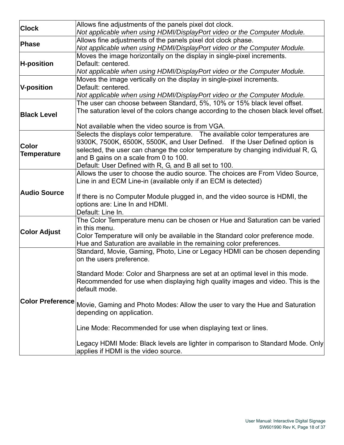| <b>Clock</b>        | Allows fine adjustments of the panels pixel dot clock.                                        |
|---------------------|-----------------------------------------------------------------------------------------------|
|                     | Not applicable when using HDMI/DisplayPort video or the Computer Module.                      |
|                     | Allows fine adjustments of the panels pixel dot clock phase.                                  |
| Phase               | Not applicable when using HDMI/DisplayPort video or the Computer Module.                      |
|                     | Moves the image horizontally on the display in single-pixel increments.                       |
| <b>H-position</b>   | Default: centered.                                                                            |
|                     | Not applicable when using HDMI/DisplayPort video or the Computer Module.                      |
|                     | Moves the image vertically on the display in single-pixel increments.                         |
| <b>V-position</b>   | Default: centered.                                                                            |
|                     | Not applicable when using HDMI/DisplayPort video or the Computer Module.                      |
|                     | The user can choose between Standard, 5%, 10% or 15% black level offset.                      |
|                     | The saturation level of the colors change according to the chosen black level offset.         |
| <b>Black Level</b>  |                                                                                               |
|                     | Not available when the video source is from VGA.                                              |
|                     | Selects the displays color temperature. The available color temperatures are                  |
|                     | 9300K, 7500K, 6500K, 5500K, and User Defined. If the User Defined option is                   |
| <b>Color</b>        | selected, the user can change the color temperature by changing individual R, G,              |
| <b>Temperature</b>  | and B gains on a scale from 0 to 100.                                                         |
|                     | Default: User Defined with R, G, and B all set to 100.                                        |
|                     | Allows the user to choose the audio source. The choices are From Video Source,                |
|                     | Line in and ECM Line-in (available only if an ECM is detected)                                |
|                     |                                                                                               |
| <b>Audio Source</b> | If there is no Computer Module plugged in, and the video source is HDMI, the                  |
|                     | options are: Line In and HDMI.                                                                |
|                     | Default: Line In.                                                                             |
|                     | The Color Temperature menu can be chosen or Hue and Saturation can be varied                  |
|                     | in this menu.                                                                                 |
| <b>Color Adjust</b> | Color Temperature will only be available in the Standard color preference mode.               |
|                     | Hue and Saturation are available in the remaining color preferences.                          |
|                     | Standard, Movie, Gaming, Photo, Line or Legacy HDMI can be chosen depending                   |
|                     | on the users preference.                                                                      |
|                     |                                                                                               |
|                     | Standard Mode: Color and Sharpness are set at an optimal level in this mode.                  |
|                     | Recommended for use when displaying high quality images and video. This is the                |
|                     | default mode.                                                                                 |
|                     |                                                                                               |
|                     | Color Preference Movie, Gaming and Photo Modes: Allow the user to vary the Hue and Saturation |
|                     | depending on application.                                                                     |
|                     |                                                                                               |
|                     | Line Mode: Recommended for use when displaying text or lines.                                 |
|                     |                                                                                               |
|                     | Legacy HDMI Mode: Black levels are lighter in comparison to Standard Mode. Only               |
|                     | applies if HDMI is the video source.                                                          |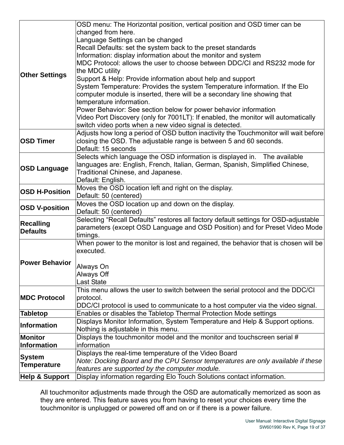|                                                    | OSD menu: The Horizontal position, vertical position and OSD timer can be                                                |
|----------------------------------------------------|--------------------------------------------------------------------------------------------------------------------------|
|                                                    | changed from here.                                                                                                       |
|                                                    | Language Settings can be changed                                                                                         |
|                                                    | Recall Defaults: set the system back to the preset standards                                                             |
|                                                    | Information: display information about the monitor and system                                                            |
|                                                    | MDC Protocol: allows the user to choose between DDC/CI and RS232 mode for                                                |
| <b>Other Settings</b>                              | the MDC utility                                                                                                          |
|                                                    | Support & Help: Provide information about help and support                                                               |
|                                                    | System Temperature: Provides the system Temperature information. If the Elo                                              |
|                                                    | computer module is inserted, there will be a secondary line showing that                                                 |
|                                                    | temperature information.                                                                                                 |
|                                                    | Power Behavior: See section below for power behavior information                                                         |
|                                                    | Video Port Discovery (only for 7001LT): If enabled, the monitor will automatically                                       |
|                                                    | switch video ports when a new video signal is detected.                                                                  |
|                                                    | Adjusts how long a period of OSD button inactivity the Touchmonitor will wait before                                     |
| <b>OSD Timer</b>                                   | closing the OSD. The adjustable range is between 5 and 60 seconds.                                                       |
|                                                    | Default: 15 seconds                                                                                                      |
|                                                    | Selects which language the OSD information is displayed in. The available                                                |
|                                                    | languages are: English, French, Italian, German, Spanish, Simplified Chinese,                                            |
| <b>OSD Language</b>                                | Traditional Chinese, and Japanese.                                                                                       |
|                                                    | Default: English.                                                                                                        |
|                                                    | Moves the OSD location left and right on the display.                                                                    |
| <b>OSD H-Position</b>                              | Default: 50 (centered)                                                                                                   |
| Moves the OSD location up and down on the display. |                                                                                                                          |
|                                                    |                                                                                                                          |
| <b>OSD V-position</b>                              | Default: 50 (centered)                                                                                                   |
|                                                    | Selecting "Recall Defaults" restores all factory default settings for OSD-adjustable                                     |
| <b>Recalling</b>                                   | parameters (except OSD Language and OSD Position) and for Preset Video Mode                                              |
| <b>Defaults</b>                                    | timings.                                                                                                                 |
|                                                    | When power to the monitor is lost and regained, the behavior that is chosen will be                                      |
|                                                    | executed.                                                                                                                |
| <b>Power Behavior</b>                              |                                                                                                                          |
|                                                    | Always On                                                                                                                |
|                                                    | Always Off                                                                                                               |
|                                                    | Last State                                                                                                               |
|                                                    | This menu allows the user to switch between the serial protocol and the DDC/CI                                           |
| <b>MDC Protocol</b>                                | protocol.                                                                                                                |
|                                                    | DDC/CI protocol is used to communicate to a host computer via the video signal.                                          |
| <b>Tabletop</b>                                    | Enables or disables the Tabletop Thermal Protection Mode settings                                                        |
| <b>Information</b>                                 | Displays Monitor Information, System Temperature and Help & Support options.                                             |
|                                                    | Nothing is adjustable in this menu.                                                                                      |
| <b>Monitor</b>                                     | Displays the touchmonitor model and the monitor and touchscreen serial #                                                 |
| <b>Information</b>                                 | information                                                                                                              |
| <b>System</b>                                      | Displays the real-time temperature of the Video Board                                                                    |
| <b>Temperature</b>                                 | Note: Docking Board and the CPU Sensor temperatures are only available if these                                          |
| <b>Help &amp; Support</b>                          | features are supported by the computer module.<br>Display information regarding Elo Touch Solutions contact information. |

All touchmonitor adjustments made through the OSD are automatically memorized as soon as they are entered. This feature saves you from having to reset your choices every time the touchmonitor is unplugged or powered off and on or if there is a power failure.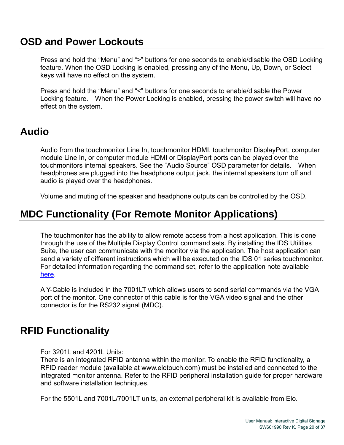#### **OSD and Power Lockouts**

Press and hold the "Menu" and ">" buttons for one seconds to enable/disable the OSD Locking feature. When the OSD Locking is enabled, pressing any of the Menu, Up, Down, or Select keys will have no effect on the system.

Press and hold the "Menu" and "<" buttons for one seconds to enable/disable the Power Locking feature. When the Power Locking is enabled, pressing the power switch will have no effect on the system.

#### **Audio**

Audio from the touchmonitor Line In, touchmonitor HDMI, touchmonitor DisplayPort, computer module Line In, or computer module HDMI or DisplayPort ports can be played over the touchmonitors internal speakers. See the "Audio Source" OSD parameter for details. When headphones are plugged into the headphone output jack, the internal speakers turn off and audio is played over the headphones.

Volume and muting of the speaker and headphone outputs can be controlled by the OSD.

#### **MDC Functionality (For Remote Monitor Applications)**

The touchmonitor has the ability to allow remote access from a host application. This is done through the use of the Multiple Display Control command sets. By installing the IDS Utilities Suite, the user can communicate with the monitor via the application. The host application can send a variety of different instructions which will be executed on the IDS 01 series touchmonitor. For detailed information regarding the command set, refer to the application note available here.

A Y-Cable is included in the 7001LT which allows users to send serial commands via the VGA port of the monitor. One connector of this cable is for the VGA video signal and the other connector is for the RS232 signal (MDC).

#### **RFID Functionality**

For 3201L and 4201L Units:

There is an integrated RFID antenna within the monitor. To enable the RFID functionality, a RFID reader module (available at www.elotouch.com) must be installed and connected to the integrated monitor antenna. Refer to the RFID peripheral installation guide for proper hardware and software installation techniques.

For the 5501L and 7001L/7001LT units, an external peripheral kit is available from Elo.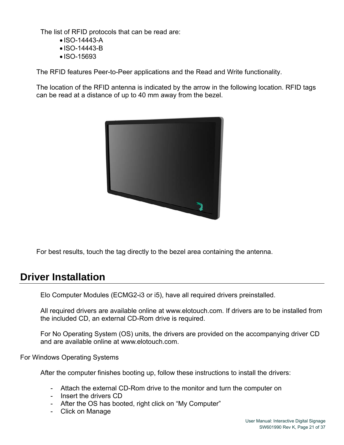The list of RFID protocols that can be read are:

- ISO-14443-A
- ISO-14443-B
- ISO-15693

The RFID features Peer-to-Peer applications and the Read and Write functionality.

The location of the RFID antenna is indicated by the arrow in the following location. RFID tags can be read at a distance of up to 40 mm away from the bezel.



For best results, touch the tag directly to the bezel area containing the antenna.

#### **Driver Installation**

Elo Computer Modules (ECMG2-i3 or i5), have all required drivers preinstalled.

All required drivers are available online at www.elotouch.com. If drivers are to be installed from the included CD, an external CD-Rom drive is required.

For No Operating System (OS) units, the drivers are provided on the accompanying driver CD and are available online at www.elotouch.com.

For Windows Operating Systems

After the computer finishes booting up, follow these instructions to install the drivers:

- Attach the external CD-Rom drive to the monitor and turn the computer on
- Insert the drivers CD
- After the OS has booted, right click on "My Computer"
- Click on Manage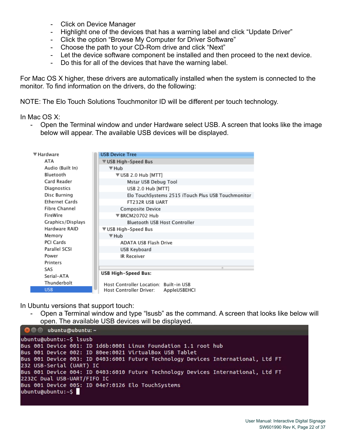- Click on Device Manager
- Highlight one of the devices that has a warning label and click "Update Driver"
- Click the option "Browse My Computer for Driver Software"
- Choose the path to your CD-Rom drive and click "Next"
- Let the device software component be installed and then proceed to the next device.
- Do this for all of the devices that have the warning label.

For Mac OS X higher, these drivers are automatically installed when the system is connected to the monitor. To find information on the drivers, do the following:

NOTE: The Elo Touch Solutions Touchmonitor ID will be different per touch technology.

In Mac OS X:

- Open the Terminal window and under Hardware select USB. A screen that looks like the image below will appear. The available USB devices will be displayed.

| $\overline{\mathbf{v}}$ Hardware | <b>USB Device Tree</b>                             |  |
|----------------------------------|----------------------------------------------------|--|
| ATA                              | USB High-Speed Bus                                 |  |
| Audio (Built In)                 | ▼ Hub                                              |  |
| Bluetooth                        | ▼USB 2.0 Hub [MTT]                                 |  |
| Card Reader                      | Mstar USB Debug Tool                               |  |
| Diagnostics                      | USB 2.0 Hub [MTT]                                  |  |
| Disc Burning                     | Elo TouchSystems 2515 iTouch Plus USB Touchmonitor |  |
| <b>Ethernet Cards</b>            | FT232R USB UART                                    |  |
| Fibre Channel                    | Composite Device                                   |  |
| FireWire                         | ▼RRCM20702 Hub                                     |  |
| Graphics/Displays                | Bluetooth USB Host Controller                      |  |
| Hardware RAID                    | VUSB High-Speed Bus                                |  |
| Memory                           | ▼ Hub                                              |  |
| PCI Cards                        | <b>ADATA USB Flash Drive</b>                       |  |
| Parallel SCSI                    | USB Keyboard                                       |  |
| Power                            | <b>IR Receiver</b>                                 |  |
| Printers                         |                                                    |  |
| SAS                              |                                                    |  |
| Serial-ATA                       | USB High-Speed Bus:                                |  |
| Thunderbolt                      | Host Controller Location: Built-in USB             |  |
| <b>USB</b>                       | Host Controller Driver:<br>AppleUSBEHCI            |  |

In Ubuntu versions that support touch:

- Open a Terminal window and type "lsusb" as the command. A screen that looks like below will open. The available USB devices will be displayed.

```
O = ubuntu@ubuntu:~
ubuntu@ubuntu:~$ lsusb
Bus 001 Device 001: ID 1d6b:0001 Linux Foundation 1.1 root hub
Bus 001 Device 002: ID 80ee:0021 VirtualBox USB Tablet
Bus 001 Device 003: ID 0403:6001 Future Technology Devices International, Ltd FT
232 USB-Serial (UART) IC
Bus 001 Device 004: ID 0403:6010 Future Technology Devices International, Ltd FT
2232C Dual USB-UART/FIFO IC
Bus 001 Device 005: ID 04e7:0126 Elo TouchSystems
ubuntu@ubuntu:~$
```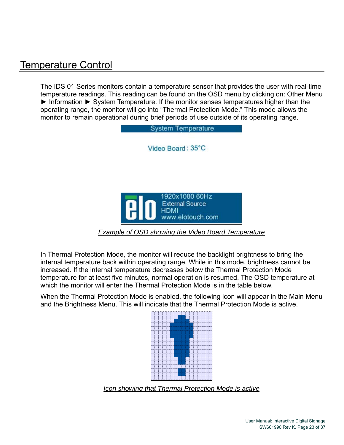#### Temperature Control

The IDS 01 Series monitors contain a temperature sensor that provides the user with real-time temperature readings. This reading can be found on the OSD menu by clicking on: Other Menu ► Information ► System Temperature. If the monitor senses temperatures higher than the operating range, the monitor will go into "Thermal Protection Mode." This mode allows the monitor to remain operational during brief periods of use outside of its operating range.



In Thermal Protection Mode, the monitor will reduce the backlight brightness to bring the internal temperature back within operating range. While in this mode, brightness cannot be increased. If the internal temperature decreases below the Thermal Protection Mode temperature for at least five minutes, normal operation is resumed. The OSD temperature at which the monitor will enter the Thermal Protection Mode is in the table below.

When the Thermal Protection Mode is enabled, the following icon will appear in the Main Menu and the Brightness Menu. This will indicate that the Thermal Protection Mode is active.



*Icon showing that Thermal Protection Mode is active*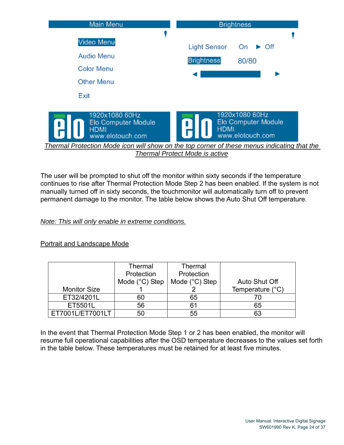

The user will be prompted to shut off the monitor within sixty seconds if the temperature continues to rise after Thermal Protection Mode Step 2 has been enabled. If the system is not manually turned off in sixty seconds, the touchmonitor will automatically turn off to prevent permanent damage to the monitor. The table below shows the Auto Shut Off temperature.

*Note: This will only enable in extreme conditions.*

Portrait and Landscape Mode

|                     | Thermal                 | <b>Thermal</b> |                  |
|---------------------|-------------------------|----------------|------------------|
|                     | Protection              | Protection     |                  |
|                     | Mode $(^{\circ}C)$ Step | Mode (°C) Step | Auto Shut Off    |
| <b>Monitor Size</b> |                         |                | Temperature (°C) |
| ET32/4201L          | 60                      | 65             |                  |
| ET5501L             | 56                      | 61             | 65               |
| ET7001L/ET7001LT    | 50                      | 55             | 63               |

In the event that Thermal Protection Mode Step 1 or 2 has been enabled, the monitor will resume full operational capabilities after the OSD temperature decreases to the values set forth in the table below. These temperatures must be retained for at least five minutes.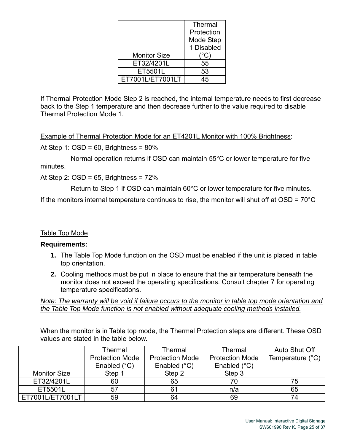|                     | Thermal    |
|---------------------|------------|
|                     | Protection |
|                     | Mode Step  |
|                     | 1 Disabled |
| <b>Monitor Size</b> | C)         |
| ET32/4201L          | 55         |
| ET5501L             | 53         |
| ET7001L/ET7001LT    |            |

If Thermal Protection Mode Step 2 is reached, the internal temperature needs to first decrease back to the Step 1 temperature and then decrease further to the value required to disable Thermal Protection Mode 1.

Example of Thermal Protection Mode for an ET4201L Monitor with 100% Brightness:

At Step 1:  $OSD = 60$ , Brightness =  $80\%$ 

 Normal operation returns if OSD can maintain 55°C or lower temperature for five minutes.

At Step 2:  $OSD = 65$ , Brightness =  $72\%$ 

Return to Step 1 if OSD can maintain 60°C or lower temperature for five minutes.

If the monitors internal temperature continues to rise, the monitor will shut off at  $OSD = 70^{\circ}C$ 

#### Table Top Mode

#### **Requirements:**

- **1.** The Table Top Mode function on the OSD must be enabled if the unit is placed in table top orientation.
- **2.** Cooling methods must be put in place to ensure that the air temperature beneath the monitor does not exceed the operating specifications. Consult chapter 7 for operating temperature specifications.

*Note: The warranty will be void if failure occurs to the monitor in table top mode orientation and the Table Top Mode function is not enabled without adequate cooling methods installed.* 

When the monitor is in Table top mode, the Thermal Protection steps are different. These OSD values are stated in the table below.

|                     | Thermal                | Thermal                | Thermal                | Auto Shut Off             |
|---------------------|------------------------|------------------------|------------------------|---------------------------|
|                     | <b>Protection Mode</b> | <b>Protection Mode</b> | <b>Protection Mode</b> | Temperature $(^{\circ}C)$ |
|                     | Enabled $(^{\circ}C)$  | Enabled $(^{\circ}C)$  | Enabled $(^{\circ}C)$  |                           |
| <b>Monitor Size</b> | Step 1                 | Step 2                 | Step 3                 |                           |
| ET32/4201L          | 60                     | 65                     | 70                     | 75                        |
| ET5501L             | 57                     | 61                     | n/a                    | 65                        |
| ET7001L/ET7001LT    | 59                     | 64                     | 69                     | 74                        |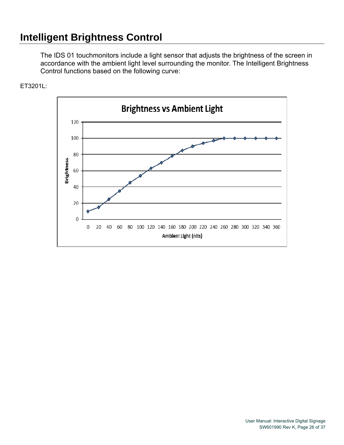## **Intelligent Brightness Control**

The IDS 01 touchmonitors include a light sensor that adjusts the brightness of the screen in accordance with the ambient light level surrounding the monitor. The Intelligent Brightness Control functions based on the following curve:

#### ET3201L:

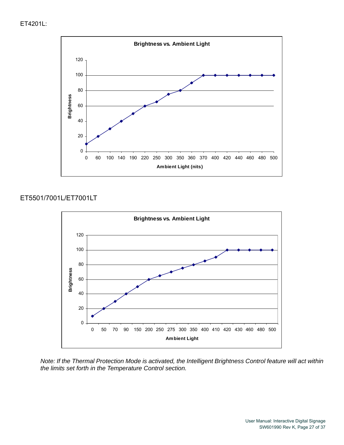#### ET4201L:



#### ET5501/7001L/ET7001LT



*Note: If the Thermal Protection Mode is activated, the Intelligent Brightness Control feature will act within the limits set forth in the Temperature Control section.*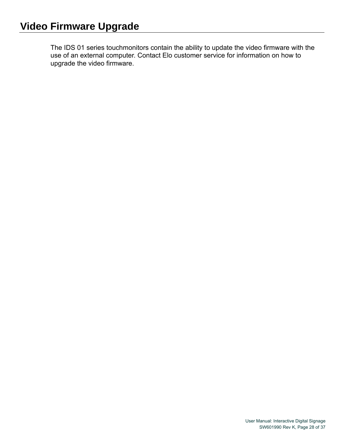The IDS 01 series touchmonitors contain the ability to update the video firmware with the use of an external computer. Contact Elo customer service for information on how to upgrade the video firmware.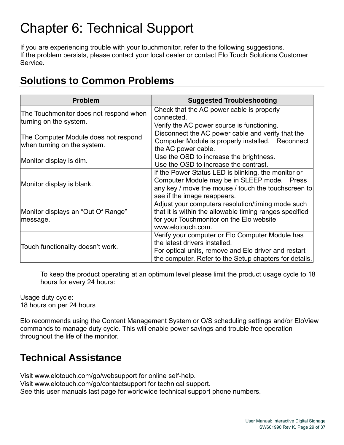# Chapter 6: Technical Support

If you are experiencing trouble with your touchmonitor, refer to the following suggestions. If the problem persists, please contact your local dealer or contact Elo Touch Solutions Customer Service.

## **Solutions to Common Problems**

| <b>Problem</b>                                                      | <b>Suggested Troubleshooting</b>                                                                                                                                                                   |
|---------------------------------------------------------------------|----------------------------------------------------------------------------------------------------------------------------------------------------------------------------------------------------|
| The Touchmonitor does not respond when<br>turning on the system.    | Check that the AC power cable is properly<br>connected.<br>Verify the AC power source is functioning.                                                                                              |
| The Computer Module does not respond<br>when turning on the system. | Disconnect the AC power cable and verify that the<br>Computer Module is properly installed. Reconnect<br>the AC power cable.                                                                       |
| Monitor display is dim.                                             | Use the OSD to increase the brightness.<br>Use the OSD to increase the contrast.                                                                                                                   |
| Monitor display is blank.                                           | If the Power Status LED is blinking, the monitor or<br>Computer Module may be in SLEEP mode. Press<br>any key / move the mouse / touch the touchscreen to<br>see if the image reappears.           |
| Monitor displays an "Out Of Range"<br>message.                      | Adjust your computers resolution/timing mode such<br>that it is within the allowable timing ranges specified<br>for your Touchmonitor on the Elo website<br>www.elotouch.com.                      |
| Touch functionality doesn't work.                                   | Verify your computer or Elo Computer Module has<br>the latest drivers installed.<br>For optical units, remove and Elo driver and restart<br>the computer. Refer to the Setup chapters for details. |

To keep the product operating at an optimum level please limit the product usage cycle to 18 hours for every 24 hours:

Usage duty cycle: 18 hours on per 24 hours

Elo recommends using the Content Management System or O/S scheduling settings and/or EloView commands to manage duty cycle. This will enable power savings and trouble free operation throughout the life of the monitor.

#### **Technical Assistance**

Visit www.elotouch.com/go/websupport for online self-help. Visit www.elotouch.com/go/contactsupport for technical support. See this user manuals last page for worldwide technical support phone numbers.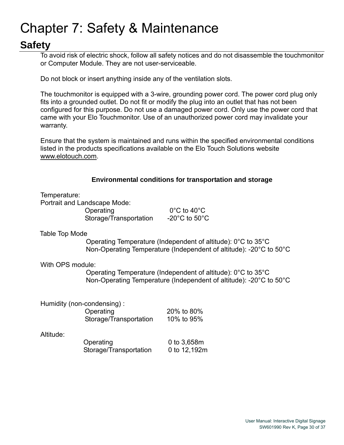# Chapter 7: Safety & Maintenance

## **Safety**

To avoid risk of electric shock, follow all safety notices and do not disassemble the touchmonitor or Computer Module. They are not user-serviceable.

Do not block or insert anything inside any of the ventilation slots.

The touchmonitor is equipped with a 3-wire, grounding power cord. The power cord plug only fits into a grounded outlet. Do not fit or modify the plug into an outlet that has not been configured for this purpose. Do not use a damaged power cord. Only use the power cord that came with your Elo Touchmonitor. Use of an unauthorized power cord may invalidate your warranty.

Ensure that the system is maintained and runs within the specified environmental conditions listed in the products specifications available on the Elo Touch Solutions website www.elotouch.com.

#### **Environmental conditions for transportation and storage**

Temperature:

Portrait and Landscape Mode: Operating 0°C to 40°C Storage/Transportation -20°C to 50°C

#### Table Top Mode

Operating Temperature (Independent of altitude): 0°C to 35°C Non-Operating Temperature (Independent of altitude): -20°C to 50°C

With OPS module:

Operating Temperature (Independent of altitude): 0°C to 35°C Non-Operating Temperature (Independent of altitude): -20°C to 50°C

| Humidity (non-condensing): |            |
|----------------------------|------------|
| Operating                  | 20% to 80% |
| Storage/Transportation     | 10% to 95% |

Altitude:

| Operating              | 0 to 3,658m  |
|------------------------|--------------|
| Storage/Transportation | 0 to 12,192m |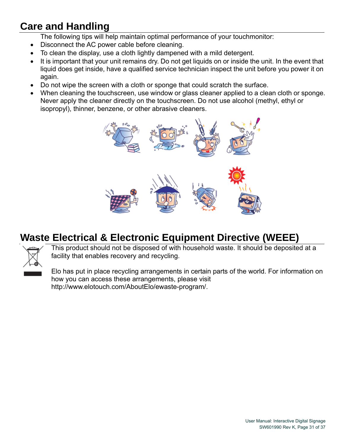# **Care and Handling**

The following tips will help maintain optimal performance of your touchmonitor:

- Disconnect the AC power cable before cleaning.
- To clean the display, use a cloth lightly dampened with a mild detergent.
- It is important that your unit remains dry. Do not get liquids on or inside the unit. In the event that liquid does get inside, have a qualified service technician inspect the unit before you power it on again.
- Do not wipe the screen with a cloth or sponge that could scratch the surface.
- When cleaning the touchscreen, use window or glass cleaner applied to a clean cloth or sponge. Never apply the cleaner directly on the touchscreen. Do not use alcohol (methyl, ethyl or isopropyl), thinner, benzene, or other abrasive cleaners.



## **Waste Electrical & Electronic Equipment Directive (WEEE)**



This product should not be disposed of with household waste. It should be deposited at a facility that enables recovery and recycling.

Elo has put in place recycling arrangements in certain parts of the world. For information on how you can access these arrangements, please visit http://www.elotouch.com/AboutElo/ewaste-program/.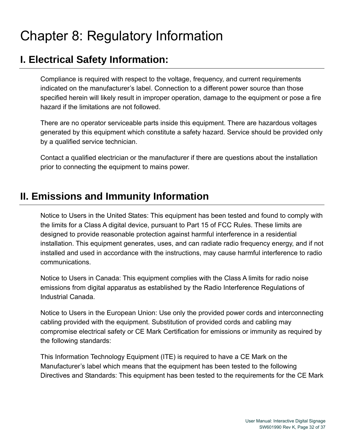# Chapter 8: Regulatory Information

#### **I. Electrical Safety Information:**

Compliance is required with respect to the voltage, frequency, and current requirements indicated on the manufacturer's label. Connection to a different power source than those specified herein will likely result in improper operation, damage to the equipment or pose a fire hazard if the limitations are not followed.

There are no operator serviceable parts inside this equipment. There are hazardous voltages generated by this equipment which constitute a safety hazard. Service should be provided only by a qualified service technician.

Contact a qualified electrician or the manufacturer if there are questions about the installation prior to connecting the equipment to mains power.

#### **II. Emissions and Immunity Information**

Notice to Users in the United States: This equipment has been tested and found to comply with the limits for a Class A digital device, pursuant to Part 15 of FCC Rules. These limits are designed to provide reasonable protection against harmful interference in a residential installation. This equipment generates, uses, and can radiate radio frequency energy, and if not installed and used in accordance with the instructions, may cause harmful interference to radio communications.

Notice to Users in Canada: This equipment complies with the Class A limits for radio noise emissions from digital apparatus as established by the Radio Interference Regulations of Industrial Canada.

Notice to Users in the European Union: Use only the provided power cords and interconnecting cabling provided with the equipment. Substitution of provided cords and cabling may compromise electrical safety or CE Mark Certification for emissions or immunity as required by the following standards:

This Information Technology Equipment (ITE) is required to have a CE Mark on the Manufacturer's label which means that the equipment has been tested to the following Directives and Standards: This equipment has been tested to the requirements for the CE Mark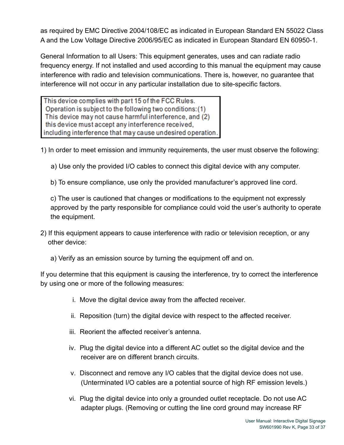as required by EMC Directive 2004/108/EC as indicated in European Standard EN 55022 Class A and the Low Voltage Directive 2006/95/EC as indicated in European Standard EN 60950-1.

General Information to all Users: This equipment generates, uses and can radiate radio frequency energy. If not installed and used according to this manual the equipment may cause interference with radio and television communications. There is, however, no guarantee that interference will not occur in any particular installation due to site-specific factors.

This device complies with part 15 of the FCC Rules. Operation is subject to the following two conditions: (1) This device may not cause harmful interference, and (2) this device must accept any interference received, including interference that may cause undesired operation.

1) In order to meet emission and immunity requirements, the user must observe the following:

a) Use only the provided I/O cables to connect this digital device with any computer.

b) To ensure compliance, use only the provided manufacturer's approved line cord.

c) The user is cautioned that changes or modifications to the equipment not expressly approved by the party responsible for compliance could void the user's authority to operate the equipment.

- 2) If this equipment appears to cause interference with radio or television reception, or any other device:
	- a) Verify as an emission source by turning the equipment off and on.

If you determine that this equipment is causing the interference, try to correct the interference by using one or more of the following measures:

- i. Move the digital device away from the affected receiver.
- ii. Reposition (turn) the digital device with respect to the affected receiver.
- iii. Reorient the affected receiver's antenna.
- iv. Plug the digital device into a different AC outlet so the digital device and the receiver are on different branch circuits.
- v. Disconnect and remove any I/O cables that the digital device does not use. (Unterminated I/O cables are a potential source of high RF emission levels.)
- vi. Plug the digital device into only a grounded outlet receptacle. Do not use AC adapter plugs. (Removing or cutting the line cord ground may increase RF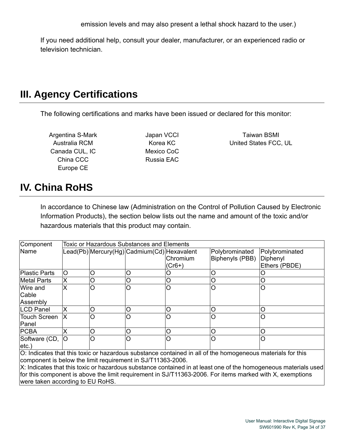If you need additional help, consult your dealer, manufacturer, or an experienced radio or television technician.

#### **III. Agency Certifications**

The following certifications and marks have been issued or declared for this monitor:

Argentina S-Mark **Internal S-Mark** Japan VCCI **Taiwan BSMI** Canada CUL, IC Mexico CoC China CCC Russia EAC Europe CE

Australia RCM Korea KC United States FCC, UL

## **IV. China RoHS**

In accordance to Chinese law (Administration on the Control of Pollution Caused by Electronic Information Products), the section below lists out the name and amount of the toxic and/or hazardous materials that this product may contain.

| Component            | Toxic or Hazardous Substances and Elements |          |                                             |          |                 |                |
|----------------------|--------------------------------------------|----------|---------------------------------------------|----------|-----------------|----------------|
| Name                 |                                            |          | Lead(Pb) Mercury(Hg) Cadmium(Cd) Hexavalent |          | Polybrominated  | Polybrominated |
|                      |                                            |          |                                             | Chromium | Biphenyls (PBB) | Diphenyl       |
|                      |                                            |          |                                             | $(Cr6+)$ |                 | Ethers (PBDE)  |
| <b>Plastic Parts</b> | O                                          | Ω        | lO                                          |          |                 |                |
| <b>Metal Parts</b>   | x                                          | O        | $\circ$                                     | O        |                 |                |
| Wire and             | x                                          | lO       | lO                                          | $\circ$  |                 | Ω              |
| Cable                |                                            |          |                                             |          |                 |                |
| Assembly             |                                            |          |                                             |          |                 |                |
| <b>LCD Panel</b>     | Χ                                          | ∩        | $\circ$                                     | C        |                 | O              |
| <b>Touch Screen</b>  | ΙX                                         | IO       | $\circ$                                     | Ω        | ∩               | O              |
| Panel                |                                            |          |                                             |          |                 |                |
| <b>PCBA</b>          |                                            | O        | $\circ$                                     | Ω        | ∩               | ∩              |
| Software (CD,        | lO                                         | $\Omega$ | lO                                          | C        |                 | Ω              |
| etc.                 |                                            |          |                                             |          |                 |                |

O: Indicates that this toxic or hazardous substance contained in all of the homogeneous materials for this component is below the limit requirement in SJ/T11363-2006.

X: Indicates that this toxic or hazardous substance contained in at least one of the homogeneous materials used for this component is above the limit requirement in SJ/T11363-2006. For items marked with X, exemptions were taken according to EU RoHS.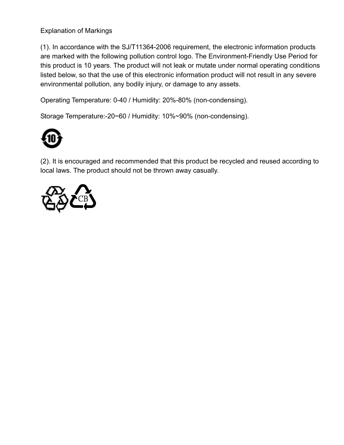Explanation of Markings

(1). In accordance with the SJ/T11364-2006 requirement, the electronic information products are marked with the following pollution control logo. The Environment-Friendly Use Period for this product is 10 years. The product will not leak or mutate under normal operating conditions listed below, so that the use of this electronic information product will not result in any severe environmental pollution, any bodily injury, or damage to any assets.

Operating Temperature: 0-40 / Humidity: 20%-80% (non-condensing).

Storage Temperature:-20~60 / Humidity: 10%~90% (non-condensing).



(2). It is encouraged and recommended that this product be recycled and reused according to local laws. The product should not be thrown away casually.

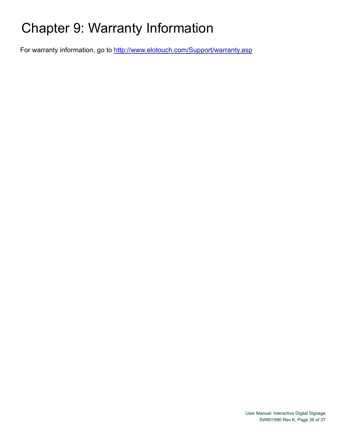# Chapter 9: Warranty Information

For warranty information, go to http://www.elotouch.com/Support/warranty.asp